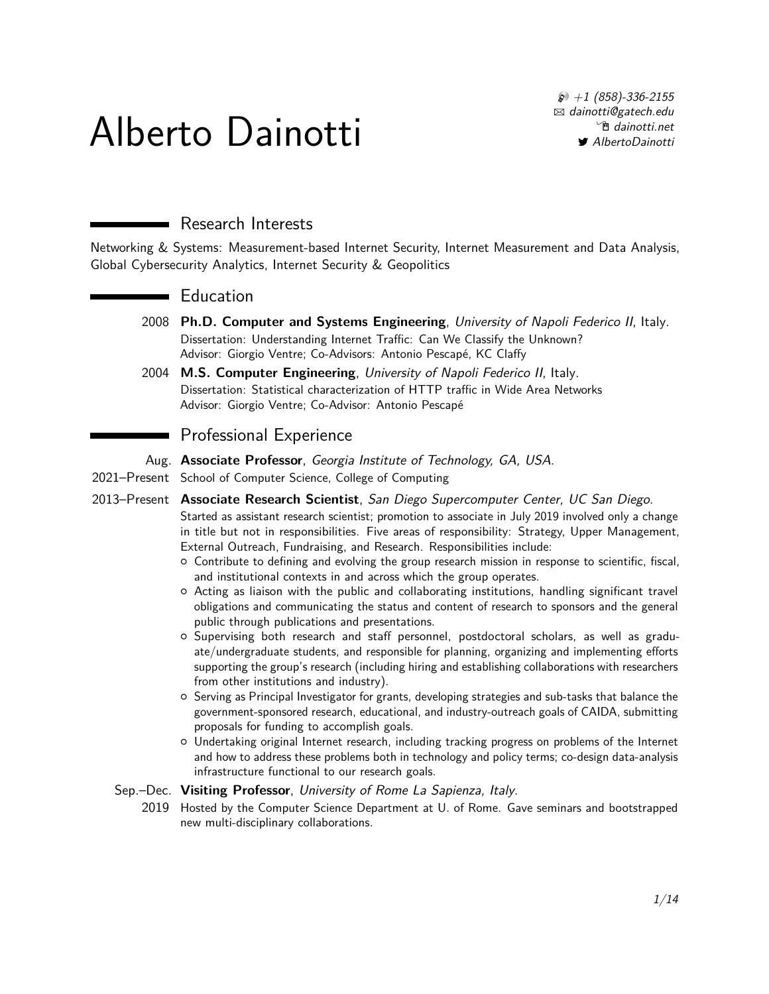# Alberto Dainotti

 $\wp$  [+1 \(858\)-336-2155](tel:+18583362155) B [dainotti@gatech.edu](mailto:dainotti@gatech.edu) <sup>n</sup>[dainotti.net](https://dainotti.net) [AlbertoDainotti](https://www.twitter.com/AlbertoDainotti)

# Research Interests

Networking & Systems: Measurement-based Internet Security, Internet Measurement and Data Analysis, Global Cybersecurity Analytics, Internet Security & Geopolitics

#### **Education**

 $\overline{\phantom{0}}$ 

 $\blacksquare$ 

- 2008 **Ph.D. Computer and Systems Engineering**, University of Napoli Federico II, Italy. Dissertation: Understanding Internet Traffic: Can We Classify the Unknown? Advisor: Giorgio Ventre; Co-Advisors: Antonio Pescapé, KC Claffy
- 2004 **M.S. Computer Engineering**, University of Napoli Federico II, Italy. Dissertation: Statistical characterization of HTTP traffic in Wide Area Networks Advisor: Giorgio Ventre; Co-Advisor: Antonio Pescapé

# Professional Experience

Aug. **Associate Professor**, Georgia Institute of Technology, GA, USA.

- 2021–Present School of Computer Science, College of Computing
- 2013–Present **Associate Research Scientist**, San Diego Supercomputer Center, UC San Diego. Started as assistant research scientist; promotion to associate in July 2019 involved only a change in title but not in responsibilities. Five areas of responsibility: Strategy, Upper Management, External Outreach, Fundraising, and Research. Responsibilities include:
	- { Contribute to defining and evolving the group research mission in response to scientific, fiscal, and institutional contexts in and across which the group operates.
	- { Acting as liaison with the public and collaborating institutions, handling significant travel obligations and communicating the status and content of research to sponsors and the general public through publications and presentations.
	- { Supervising both research and staff personnel, postdoctoral scholars, as well as graduate/undergraduate students, and responsible for planning, organizing and implementing efforts supporting the group's research (including hiring and establishing collaborations with researchers from other institutions and industry).
	- { Serving as Principal Investigator for grants, developing strategies and sub-tasks that balance the government-sponsored research, educational, and industry-outreach goals of CAIDA, submitting proposals for funding to accomplish goals.
	- { Undertaking original Internet research, including tracking progress on problems of the Internet and how to address these problems both in technology and policy terms; co-design data-analysis infrastructure functional to our research goals.

#### Sep.–Dec. **Visiting Professor**, University of Rome La Sapienza, Italy.

2019 Hosted by the Computer Science Department at U. of Rome. Gave seminars and bootstrapped new multi-disciplinary collaborations.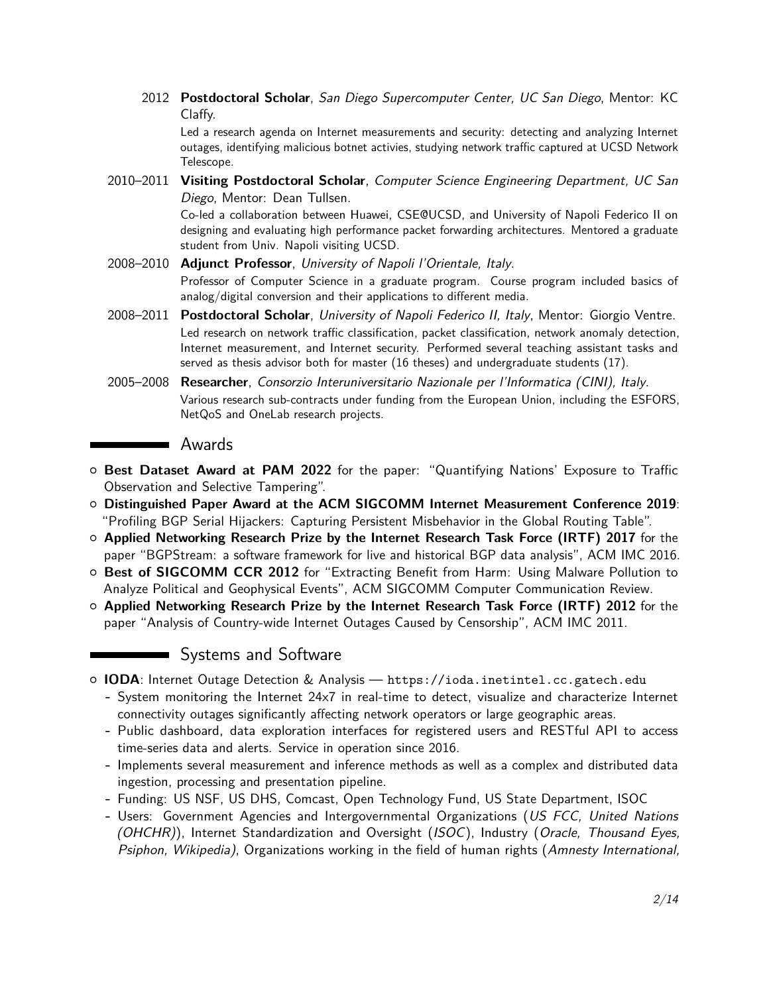2012 **Postdoctoral Scholar**, San Diego Supercomputer Center, UC San Diego, Mentor: KC Claffy.

Led a research agenda on Internet measurements and security: detecting and analyzing Internet outages, identifying malicious botnet activies, studying network traffic captured at UCSD Network Telescope.

2010–2011 **Visiting Postdoctoral Scholar**, Computer Science Engineering Department, UC San Diego, Mentor: Dean Tullsen.

> Co-led a collaboration between Huawei, CSE@UCSD, and University of Napoli Federico II on designing and evaluating high performance packet forwarding architectures. Mentored a graduate student from Univ. Napoli visiting UCSD.

- 2008–2010 **Adjunct Professor**, University of Napoli l'Orientale, Italy. Professor of Computer Science in a graduate program. Course program included basics of analog/digital conversion and their applications to different media.
- 2008–2011 **Postdoctoral Scholar**, University of Napoli Federico II, Italy, Mentor: Giorgio Ventre. Led research on network traffic classification, packet classification, network anomaly detection, Internet measurement, and Internet security. Performed several teaching assistant tasks and served as thesis advisor both for master (16 theses) and undergraduate students (17).
- 2005–2008 **Researcher**, Consorzio Interuniversitario Nazionale per l'Informatica (CINI), Italy. Various research sub-contracts under funding from the European Union, including the ESFORS, NetQoS and OneLab research projects.

# Awards

- { **Best Dataset Award at PAM 2022** for the paper: "Quantifying Nations' Exposure to Traffic Observation and Selective Tampering".
- { **Distinguished Paper Award at the ACM SIGCOMM Internet Measurement Conference 2019**: "Profiling BGP Serial Hijackers: Capturing Persistent Misbehavior in the Global Routing Table".
- { **Applied Networking Research Prize by the Internet Research Task Force (IRTF) 2017** for the paper "BGPStream: a software framework for live and historical BGP data analysis", ACM IMC 2016.
- { **Best of SIGCOMM CCR 2012** for "Extracting Benefit from Harm: Using Malware Pollution to Analyze Political and Geophysical Events", ACM SIGCOMM Computer Communication Review.
- { **Applied Networking Research Prize by the Internet Research Task Force (IRTF) 2012** for the paper "Analysis of Country-wide Internet Outages Caused by Censorship", ACM IMC 2011.

# Systems and Software

- { **IODA**: Internet Outage Detection & Analysis <https://ioda.inetintel.cc.gatech.edu>
	- **-** System monitoring the Internet 24x7 in real-time to detect, visualize and characterize Internet connectivity outages significantly affecting network operators or large geographic areas.
	- **-** Public dashboard, data exploration interfaces for registered users and RESTful API to access time-series data and alerts. Service in operation since 2016.
	- **-** Implements several measurement and inference methods as well as a complex and distributed data ingestion, processing and presentation pipeline.
	- **-** Funding: US NSF, US DHS, Comcast, Open Technology Fund, US State Department, ISOC
	- **-** Users: Government Agencies and Intergovernmental Organizations (US FCC, United Nations (OHCHR)), Internet Standardization and Oversight (ISOC), Industry (Oracle, Thousand Eyes, Psiphon, Wikipedia), Organizations working in the field of human rights (Amnesty International,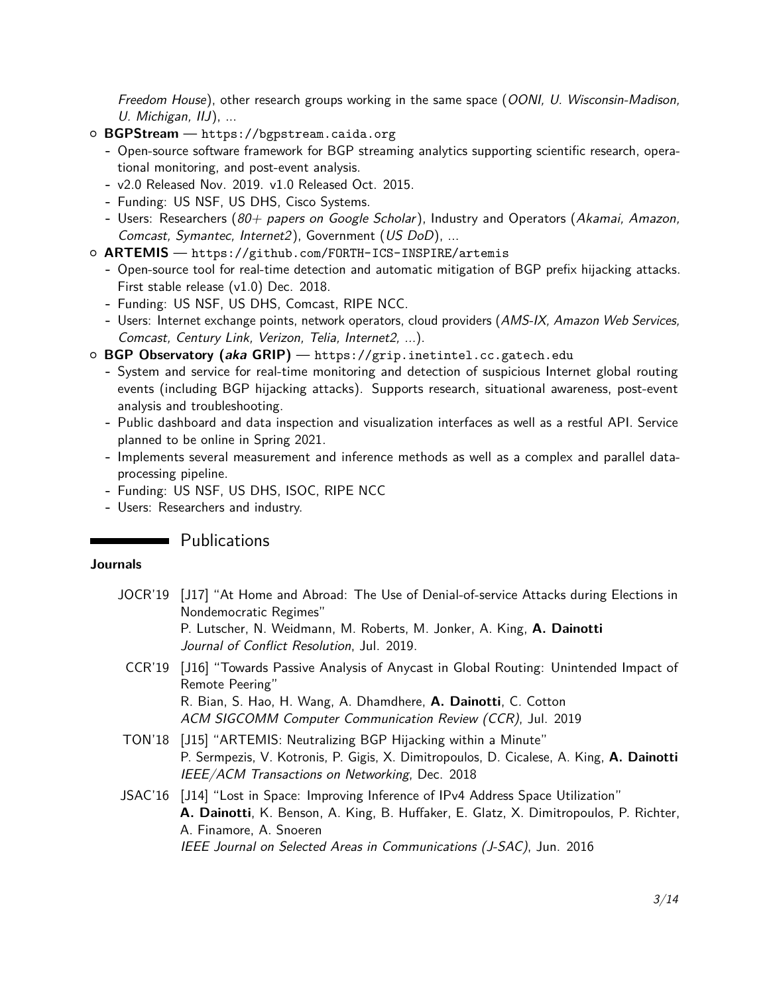Freedom House), other research groups working in the same space (OONI, U. Wisconsin-Madison, U. Michigan, IIJ), ...

- { **BGPStream** <https://bgpstream.caida.org>
	- **-** Open-source software framework for BGP streaming analytics supporting scientific research, operational monitoring, and post-event analysis.
	- **-** v2.0 Released Nov. 2019. v1.0 Released Oct. 2015.
	- **-** Funding: US NSF, US DHS, Cisco Systems.
	- **-** Users: Researchers (80+ papers on Google Scholar), Industry and Operators (Akamai, Amazon, Comcast, Symantec, Internet2), Government (US DoD), ...
- { **ARTEMIS** <https://github.com/FORTH-ICS-INSPIRE/artemis>
	- **-** Open-source tool for real-time detection and automatic mitigation of BGP prefix hijacking attacks. First stable release (v1.0) Dec. 2018.
	- **-** Funding: US NSF, US DHS, Comcast, RIPE NCC.
	- **-** Users: Internet exchange points, network operators, cloud providers (AMS-IX, Amazon Web Services, Comcast, Century Link, Verizon, Telia, Internet2, ...).
- { **BGP Observatory (aka GRIP)** <https://grip.inetintel.cc.gatech.edu>
	- **-** System and service for real-time monitoring and detection of suspicious Internet global routing events (including BGP hijacking attacks). Supports research, situational awareness, post-event analysis and troubleshooting.
	- **-** Public dashboard and data inspection and visualization interfaces as well as a restful API. Service planned to be online in Spring 2021.
	- **-** Implements several measurement and inference methods as well as a complex and parallel dataprocessing pipeline.
	- **-** Funding: US NSF, US DHS, ISOC, RIPE NCC
	- **-** Users: Researchers and industry.

# **Example 2** Publications

#### **Journals**

- JOCR'19 [J17] "At Home and Abroad: The Use of Denial-of-service Attacks during Elections in Nondemocratic Regimes" P. Lutscher, N. Weidmann, M. Roberts, M. Jonker, A. King, **A. Dainotti**
	- Journal of Conflict Resolution, Jul. 2019.
- CCR'19 [J16] "Towards Passive Analysis of Anycast in Global Routing: Unintended Impact of Remote Peering" R. Bian, S. Hao, H. Wang, A. Dhamdhere, **A. Dainotti**, C. Cotton ACM SIGCOMM Computer Communication Review (CCR), Jul. 2019
- TON'18 [J15] "ARTEMIS: Neutralizing BGP Hijacking within a Minute" P. Sermpezis, V. Kotronis, P. Gigis, X. Dimitropoulos, D. Cicalese, A. King, **A. Dainotti** IEEE/ACM Transactions on Networking, Dec. 2018
- JSAC'16 [J14] "Lost in Space: Improving Inference of IPv4 Address Space Utilization" **A. Dainotti**, K. Benson, A. King, B. Huffaker, E. Glatz, X. Dimitropoulos, P. Richter, A. Finamore, A. Snoeren IEEE Journal on Selected Areas in Communications (J-SAC), Jun. 2016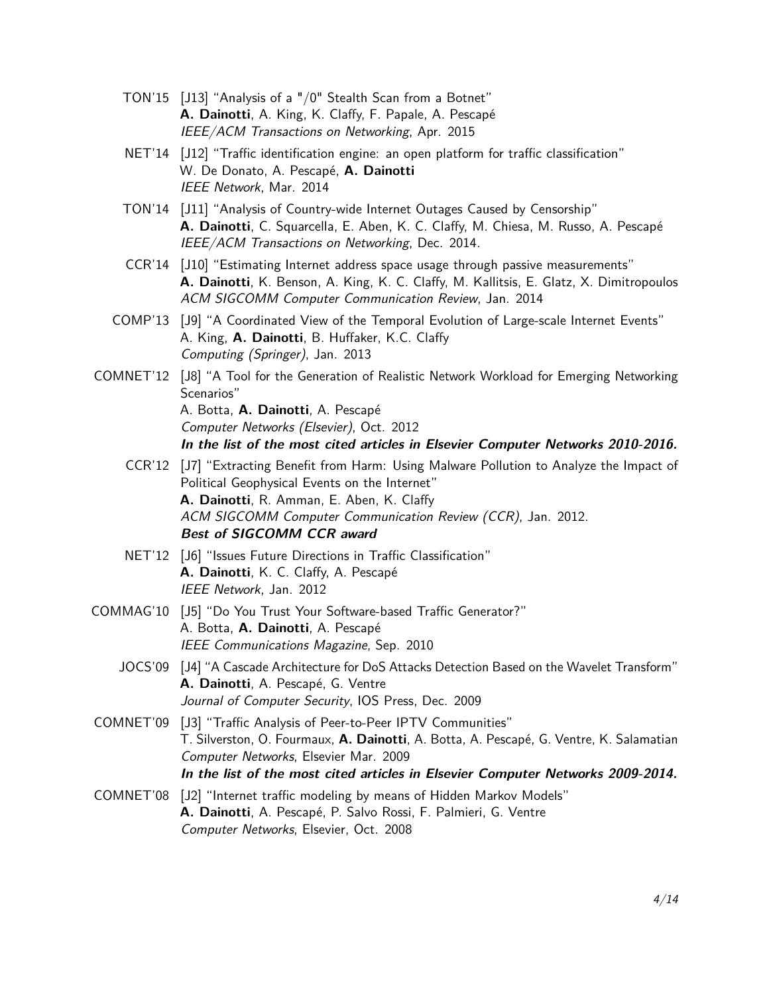- TON'15 [J13] "Analysis of a "/0" Stealth Scan from a Botnet" **A. Dainotti**, A. King, K. Claffy, F. Papale, A. Pescapé IEEE/ACM Transactions on Networking, Apr. 2015
- NET'14 [J12] "Traffic identification engine: an open platform for traffic classification" W. De Donato, A. Pescapé, **A. Dainotti** IEEE Network, Mar. 2014
- TON'14 [J11] "Analysis of Country-wide Internet Outages Caused by Censorship" **A. Dainotti**, C. Squarcella, E. Aben, K. C. Claffy, M. Chiesa, M. Russo, A. Pescapé IEEE/ACM Transactions on Networking, Dec. 2014.
- CCR'14 [J10] "Estimating Internet address space usage through passive measurements" **A. Dainotti**, K. Benson, A. King, K. C. Claffy, M. Kallitsis, E. Glatz, X. Dimitropoulos ACM SIGCOMM Computer Communication Review, Jan. 2014
- COMP'13 [J9] "A Coordinated View of the Temporal Evolution of Large-scale Internet Events" A. King, **A. Dainotti**, B. Huffaker, K.C. Claffy Computing (Springer), Jan. 2013
- COMNET'12 [J8] "A Tool for the Generation of Realistic Network Workload for Emerging Networking Scenarios" A. Botta, **A. Dainotti**, A. Pescapé

Computer Networks (Elsevier), Oct. 2012 **In the list of the most cited articles in Elsevier Computer Networks 2010-2016.**

- CCR'12 [J7] "Extracting Benefit from Harm: Using Malware Pollution to Analyze the Impact of Political Geophysical Events on the Internet" **A. Dainotti**, R. Amman, E. Aben, K. Claffy ACM SIGCOMM Computer Communication Review (CCR), Jan. 2012. **Best of SIGCOMM CCR award**
- NET'12 [J6] "Issues Future Directions in Traffic Classification" **A. Dainotti**, K. C. Claffy, A. Pescapé IEEE Network, Jan. 2012
- COMMAG'10 [J5] "Do You Trust Your Software-based Traffic Generator?" A. Botta, **A. Dainotti**, A. Pescapé IEEE Communications Magazine, Sep. 2010
	- JOCS'09 [J4] "A Cascade Architecture for DoS Attacks Detection Based on the Wavelet Transform" **A. Dainotti**, A. Pescapé, G. Ventre Journal of Computer Security, IOS Press, Dec. 2009
- COMNET'09 [J3] "Traffic Analysis of Peer-to-Peer IPTV Communities" T. Silverston, O. Fourmaux, **A. Dainotti**, A. Botta, A. Pescapé, G. Ventre, K. Salamatian Computer Networks, Elsevier Mar. 2009 **In the list of the most cited articles in Elsevier Computer Networks 2009-2014.**
- COMNET'08 [J2] "Internet traffic modeling by means of Hidden Markov Models" **A. Dainotti**, A. Pescapé, P. Salvo Rossi, F. Palmieri, G. Ventre Computer Networks, Elsevier, Oct. 2008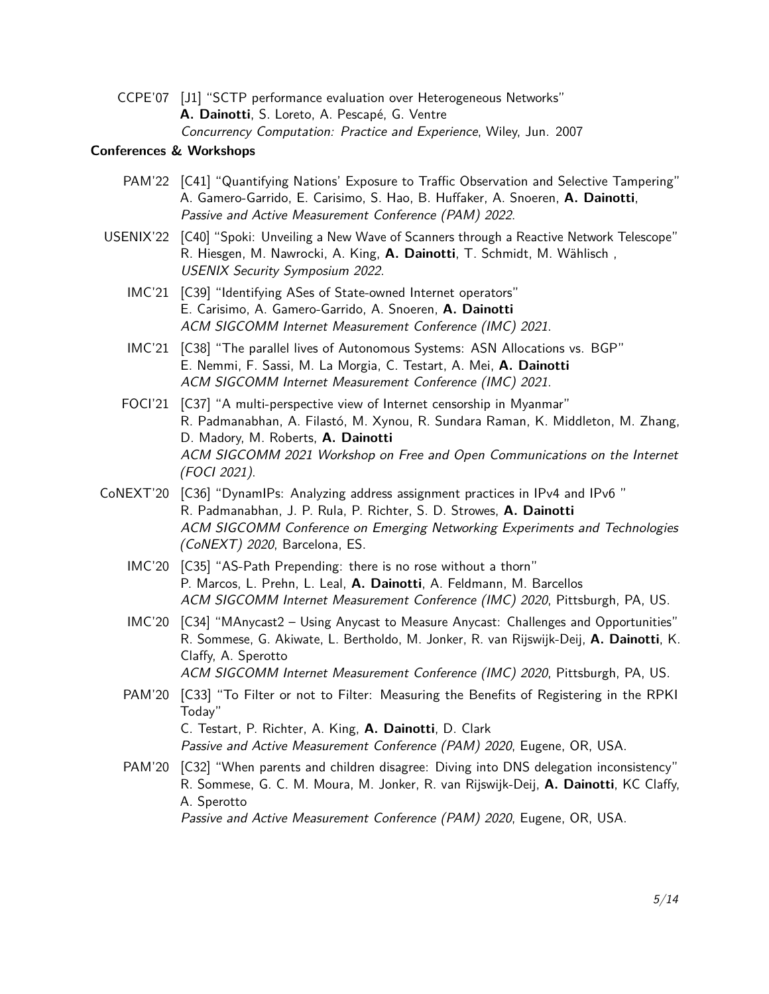CCPE'07 [J1] "SCTP performance evaluation over Heterogeneous Networks" **A. Dainotti**, S. Loreto, A. Pescapé, G. Ventre Concurrency Computation: Practice and Experience, Wiley, Jun. 2007

#### **Conferences & Workshops**

- PAM'22 [C41] "Quantifying Nations' Exposure to Traffic Observation and Selective Tampering" A. Gamero-Garrido, E. Carisimo, S. Hao, B. Huffaker, A. Snoeren, **A. Dainotti**, Passive and Active Measurement Conference (PAM) 2022.
- USENIX'22 [C40] "Spoki: Unveiling a New Wave of Scanners through a Reactive Network Telescope" R. Hiesgen, M. Nawrocki, A. King, **A. Dainotti**, T. Schmidt, M. Wählisch , USENIX Security Symposium 2022.
	- IMC'21 [C39] "Identifying ASes of State-owned Internet operators" E. Carisimo, A. Gamero-Garrido, A. Snoeren, **A. Dainotti** ACM SIGCOMM Internet Measurement Conference (IMC) 2021.
	- IMC'21 [C38] "The parallel lives of Autonomous Systems: ASN Allocations vs. BGP" E. Nemmi, F. Sassi, M. La Morgia, C. Testart, A. Mei, **A. Dainotti** ACM SIGCOMM Internet Measurement Conference (IMC) 2021.
	- FOCI'21 [C37] "A multi-perspective view of Internet censorship in Myanmar" R. Padmanabhan, A. Filastó, M. Xynou, R. Sundara Raman, K. Middleton, M. Zhang, D. Madory, M. Roberts, **A. Dainotti** ACM SIGCOMM 2021 Workshop on Free and Open Communications on the Internet (FOCI 2021).
- CoNEXT'20 [C36] "DynamIPs: Analyzing address assignment practices in IPv4 and IPv6 " R. Padmanabhan, J. P. Rula, P. Richter, S. D. Strowes, **A. Dainotti** ACM SIGCOMM Conference on Emerging Networking Experiments and Technologies (CoNEXT) 2020, Barcelona, ES.
	- IMC'20 [C35] "AS-Path Prepending: there is no rose without a thorn" P. Marcos, L. Prehn, L. Leal, **A. Dainotti**, A. Feldmann, M. Barcellos ACM SIGCOMM Internet Measurement Conference (IMC) 2020, Pittsburgh, PA, US.
	- IMC'20 [C34] "MAnycast2 Using Anycast to Measure Anycast: Challenges and Opportunities" R. Sommese, G. Akiwate, L. Bertholdo, M. Jonker, R. van Rijswijk-Deij, **A. Dainotti**, K. Claffy, A. Sperotto ACM SIGCOMM Internet Measurement Conference (IMC) 2020, Pittsburgh, PA, US.
	- PAM'20 [C33] "To Filter or not to Filter: Measuring the Benefits of Registering in the RPKI Today" C. Testart, P. Richter, A. King, **A. Dainotti**, D. Clark Passive and Active Measurement Conference (PAM) 2020, Eugene, OR, USA.
	- PAM'20 [C32] "When parents and children disagree: Diving into DNS delegation inconsistency" R. Sommese, G. C. M. Moura, M. Jonker, R. van Rijswijk-Deij, **A. Dainotti**, KC Claffy, A. Sperotto Passive and Active Measurement Conference (PAM) 2020, Eugene, OR, USA.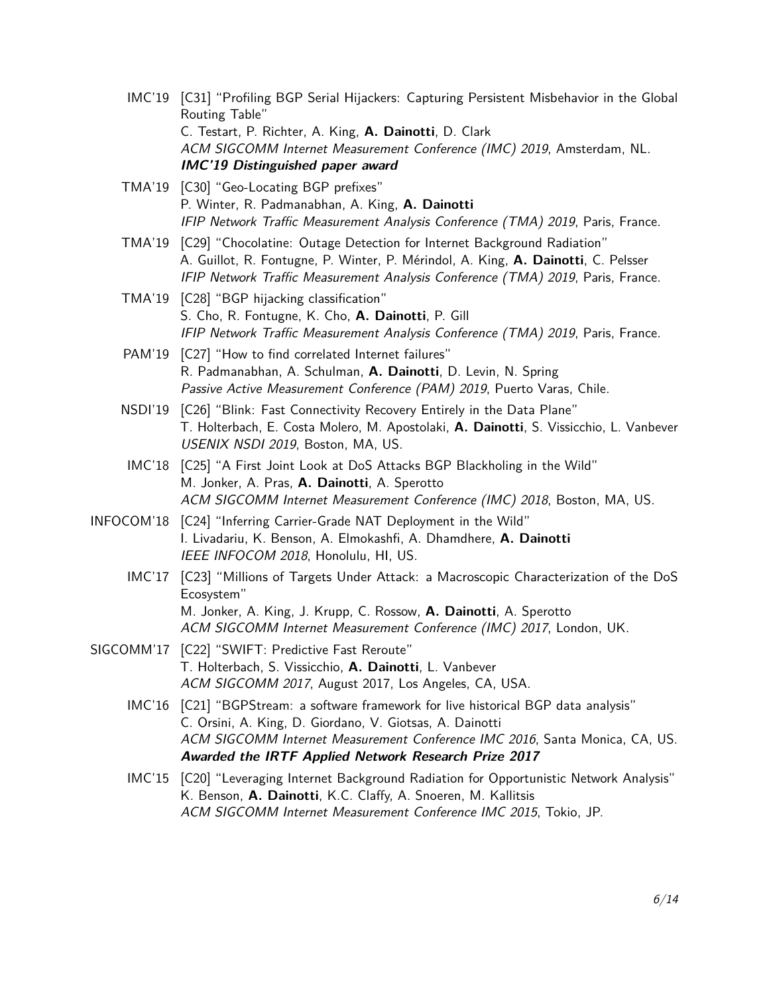- IMC'19 [C31] "Profiling BGP Serial Hijackers: Capturing Persistent Misbehavior in the Global Routing Table" C. Testart, P. Richter, A. King, **A. Dainotti**, D. Clark ACM SIGCOMM Internet Measurement Conference (IMC) 2019, Amsterdam, NL. **IMC'19 Distinguished paper award**
- TMA'19 [C30] "Geo-Locating BGP prefixes" P. Winter, R. Padmanabhan, A. King, **A. Dainotti** IFIP Network Traffic Measurement Analysis Conference (TMA) 2019, Paris, France.
- TMA'19 [C29] "Chocolatine: Outage Detection for Internet Background Radiation" A. Guillot, R. Fontugne, P. Winter, P. Mérindol, A. King, **A. Dainotti**, C. Pelsser IFIP Network Traffic Measurement Analysis Conference (TMA) 2019, Paris, France.
- TMA'19 [C28] "BGP hijacking classification" S. Cho, R. Fontugne, K. Cho, **A. Dainotti**, P. Gill IFIP Network Traffic Measurement Analysis Conference (TMA) 2019, Paris, France.
- PAM'19 [C27] "How to find correlated Internet failures" R. Padmanabhan, A. Schulman, **A. Dainotti**, D. Levin, N. Spring Passive Active Measurement Conference (PAM) 2019, Puerto Varas, Chile.
- NSDI'19 [C26] "Blink: Fast Connectivity Recovery Entirely in the Data Plane" T. Holterbach, E. Costa Molero, M. Apostolaki, **A. Dainotti**, S. Vissicchio, L. Vanbever USENIX NSDI 2019, Boston, MA, US.
- IMC'18 [C25] "A First Joint Look at DoS Attacks BGP Blackholing in the Wild" M. Jonker, A. Pras, **A. Dainotti**, A. Sperotto ACM SIGCOMM Internet Measurement Conference (IMC) 2018, Boston, MA, US.
- INFOCOM'18 [C24] "Inferring Carrier-Grade NAT Deployment in the Wild" I. Livadariu, K. Benson, A. Elmokashfi, A. Dhamdhere, **A. Dainotti** IEEE INFOCOM 2018, Honolulu, HI, US.
	- IMC'17 [C23] "Millions of Targets Under Attack: a Macroscopic Characterization of the DoS Ecosystem" M. Jonker, A. King, J. Krupp, C. Rossow, **A. Dainotti**, A. Sperotto ACM SIGCOMM Internet Measurement Conference (IMC) 2017, London, UK.
- SIGCOMM'17 [C22] "SWIFT: Predictive Fast Reroute" T. Holterbach, S. Vissicchio, **A. Dainotti**, L. Vanbever ACM SIGCOMM 2017, August 2017, Los Angeles, CA, USA.
	- IMC'16 [C21] "BGPStream: a software framework for live historical BGP data analysis" C. Orsini, A. King, D. Giordano, V. Giotsas, A. Dainotti ACM SIGCOMM Internet Measurement Conference IMC 2016, Santa Monica, CA, US. **Awarded the IRTF Applied Network Research Prize 2017**
	- IMC'15 [C20] "Leveraging Internet Background Radiation for Opportunistic Network Analysis" K. Benson, **A. Dainotti**, K.C. Claffy, A. Snoeren, M. Kallitsis ACM SIGCOMM Internet Measurement Conference IMC 2015, Tokio, JP.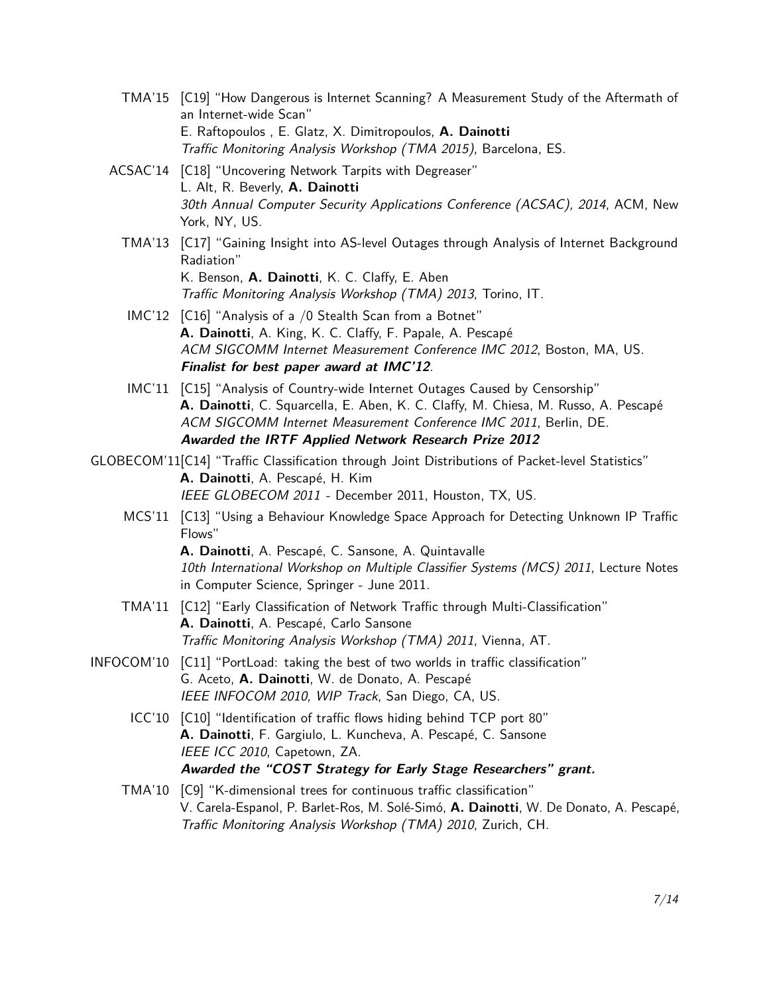- TMA'15 [C19] "How Dangerous is Internet Scanning? A Measurement Study of the Aftermath of an Internet-wide Scan" E. Raftopoulos , E. Glatz, X. Dimitropoulos, **A. Dainotti** Traffic Monitoring Analysis Workshop (TMA 2015), Barcelona, ES.
- ACSAC'14 [C18] "Uncovering Network Tarpits with Degreaser" L. Alt, R. Beverly, **A. Dainotti** 30th Annual Computer Security Applications Conference (ACSAC), 2014, ACM, New York, NY, US.
	- TMA'13 [C17] "Gaining Insight into AS-level Outages through Analysis of Internet Background Radiation" K. Benson, **A. Dainotti**, K. C. Claffy, E. Aben Traffic Monitoring Analysis Workshop (TMA) 2013, Torino, IT.
	- IMC'12 [C16] "Analysis of a /0 Stealth Scan from a Botnet" **A. Dainotti**, A. King, K. C. Claffy, F. Papale, A. Pescapé ACM SIGCOMM Internet Measurement Conference IMC 2012, Boston, MA, US. **Finalist for best paper award at IMC'12**.
	- IMC'11 [C15] "Analysis of Country-wide Internet Outages Caused by Censorship" **A. Dainotti**, C. Squarcella, E. Aben, K. C. Claffy, M. Chiesa, M. Russo, A. Pescapé ACM SIGCOMM Internet Measurement Conference IMC 2011, Berlin, DE. **Awarded the IRTF Applied Network Research Prize 2012**
- GLOBECOM'11[C14] "Traffic Classification through Joint Distributions of Packet-level Statistics" **A. Dainotti**, A. Pescapé, H. Kim IEEE GLOBECOM 2011 - December 2011, Houston, TX, US.
	- MCS'11 [C13] "Using a Behaviour Knowledge Space Approach for Detecting Unknown IP Traffic Flows"

**A. Dainotti**, A. Pescapé, C. Sansone, A. Quintavalle 10th International Workshop on Multiple Classifier Systems (MCS) 2011, Lecture Notes in Computer Science, Springer - June 2011.

- TMA'11 [C12] "Early Classification of Network Traffic through Multi-Classification" **A. Dainotti**, A. Pescapé, Carlo Sansone Traffic Monitoring Analysis Workshop (TMA) 2011, Vienna, AT.
- INFOCOM'10 [C11] "PortLoad: taking the best of two worlds in traffic classification" G. Aceto, **A. Dainotti**, W. de Donato, A. Pescapé IEEE INFOCOM 2010, WIP Track, San Diego, CA, US.
	- ICC'10 [C10] "Identification of traffic flows hiding behind TCP port 80" **A. Dainotti**, F. Gargiulo, L. Kuncheva, A. Pescapé, C. Sansone IEEE ICC 2010, Capetown, ZA. **Awarded the "COST Strategy for Early Stage Researchers" grant.**
	- TMA'10 [C9] "K-dimensional trees for continuous traffic classification" V. Carela-Espanol, P. Barlet-Ros, M. Solé-Simó, **A. Dainotti**, W. De Donato, A. Pescapé, Traffic Monitoring Analysis Workshop (TMA) 2010, Zurich, CH.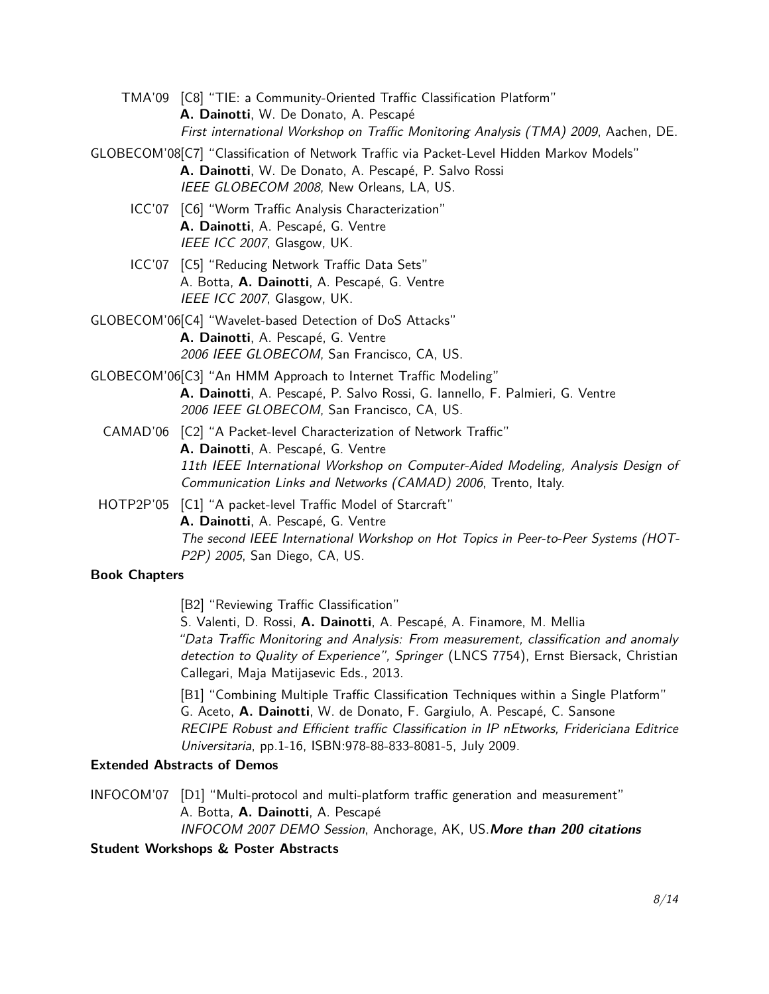TMA'09 [C8] "TIE: a Community-Oriented Traffic Classification Platform" **A. Dainotti**, W. De Donato, A. Pescapé First international Workshop on Traffic Monitoring Analysis (TMA) 2009, Aachen, DE.

- GLOBECOM'08[C7] "Classification of Network Traffic via Packet-Level Hidden Markov Models" **A. Dainotti**, W. De Donato, A. Pescapé, P. Salvo Rossi IEEE GLOBECOM 2008, New Orleans, LA, US.
	- ICC'07 [C6] "Worm Traffic Analysis Characterization" **A. Dainotti**, A. Pescapé, G. Ventre IEEE ICC 2007, Glasgow, UK.
	- ICC'07 [C5] "Reducing Network Traffic Data Sets" A. Botta, **A. Dainotti**, A. Pescapé, G. Ventre IEEE ICC 2007, Glasgow, UK.

GLOBECOM'06[C4] "Wavelet-based Detection of DoS Attacks" **A. Dainotti**, A. Pescapé, G. Ventre 2006 IEEE GLOBECOM, San Francisco, CA, US.

GLOBECOM'06[C3] "An HMM Approach to Internet Traffic Modeling" **A. Dainotti**, A. Pescapé, P. Salvo Rossi, G. Iannello, F. Palmieri, G. Ventre 2006 IEEE GLOBECOM, San Francisco, CA, US.

CAMAD'06 [C2] "A Packet-level Characterization of Network Traffic" **A. Dainotti**, A. Pescapé, G. Ventre 11th IEEE International Workshop on Computer-Aided Modeling, Analysis Design of Communication Links and Networks (CAMAD) 2006, Trento, Italy.

HOTP2P'05 [C1] "A packet-level Traffic Model of Starcraft" **A. Dainotti**, A. Pescapé, G. Ventre The second IEEE International Workshop on Hot Topics in Peer-to-Peer Systems (HOT-P2P) 2005, San Diego, CA, US.

#### **Book Chapters**

[B2] "Reviewing Traffic Classification"

S. Valenti, D. Rossi, **A. Dainotti**, A. Pescapé, A. Finamore, M. Mellia "Data Traffic Monitoring and Analysis: From measurement, classification and anomaly detection to Quality of Experience", Springer (LNCS 7754), Ernst Biersack, Christian Callegari, Maja Matijasevic Eds., 2013.

[B1] "Combining Multiple Traffic Classification Techniques within a Single Platform" G. Aceto, **A. Dainotti**, W. de Donato, F. Gargiulo, A. Pescapé, C. Sansone RECIPE Robust and Efficient traffic Classification in IP nEtworks, Fridericiana Editrice Universitaria, pp.1-16, ISBN:978-88-833-8081-5, July 2009.

## **Extended Abstracts of Demos**

INFOCOM'07 [D1] "Multi-protocol and multi-platform traffic generation and measurement" A. Botta, **A. Dainotti**, A. Pescapé INFOCOM 2007 DEMO Session, Anchorage, AK, US.**More than 200 citations**

#### **Student Workshops & Poster Abstracts**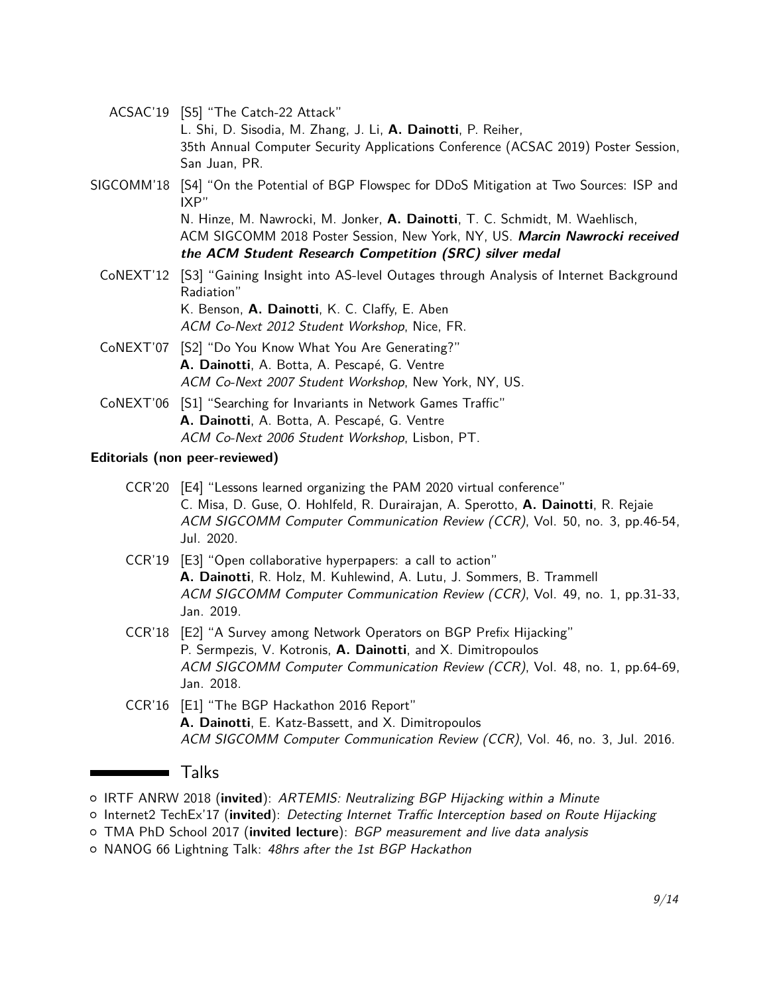- ACSAC'19 [S5] "The Catch-22 Attack" L. Shi, D. Sisodia, M. Zhang, J. Li, **A. Dainotti**, P. Reiher, 35th Annual Computer Security Applications Conference (ACSAC 2019) Poster Session, San Juan, PR.
- SIGCOMM'18 [S4] "On the Potential of BGP Flowspec for DDoS Mitigation at Two Sources: ISP and IXP" N. Hinze, M. Nawrocki, M. Jonker, **A. Dainotti**, T. C. Schmidt, M. Waehlisch, ACM SIGCOMM 2018 Poster Session, New York, NY, US. **Marcin Nawrocki received**

**the ACM Student Research Competition (SRC) silver medal**

CoNEXT'12 [S3] "Gaining Insight into AS-level Outages through Analysis of Internet Background Radiation" K. Benson, **A. Dainotti**, K. C. Claffy, E. Aben

ACM Co-Next 2012 Student Workshop, Nice, FR.

- CoNEXT'07 [S2] "Do You Know What You Are Generating?" **A. Dainotti**, A. Botta, A. Pescapé, G. Ventre ACM Co-Next 2007 Student Workshop, New York, NY, US.
- CoNEXT'06 [S1] "Searching for Invariants in Network Games Traffic" **A. Dainotti**, A. Botta, A. Pescapé, G. Ventre ACM Co-Next 2006 Student Workshop, Lisbon, PT.

## **Editorials (non peer-reviewed)**

- CCR'20 [E4] "Lessons learned organizing the PAM 2020 virtual conference" C. Misa, D. Guse, O. Hohlfeld, R. Durairajan, A. Sperotto, **A. Dainotti**, R. Rejaie ACM SIGCOMM Computer Communication Review (CCR), Vol. 50, no. 3, pp.46-54, Jul. 2020.
- CCR'19 [E3] "Open collaborative hyperpapers: a call to action" **A. Dainotti**, R. Holz, M. Kuhlewind, A. Lutu, J. Sommers, B. Trammell ACM SIGCOMM Computer Communication Review (CCR), Vol. 49, no. 1, pp.31-33, Jan. 2019.
- CCR'18 [E2] "A Survey among Network Operators on BGP Prefix Hijacking" P. Sermpezis, V. Kotronis, **A. Dainotti**, and X. Dimitropoulos ACM SIGCOMM Computer Communication Review (CCR), Vol. 48, no. 1, pp.64-69, Jan. 2018.
- CCR'16 [E1] "The BGP Hackathon 2016 Report" **A. Dainotti**, E. Katz-Bassett, and X. Dimitropoulos ACM SIGCOMM Computer Communication Review (CCR), Vol. 46, no. 3, Jul. 2016.

# Talks

m.

- { IRTF ANRW 2018 (**invited**): ARTEMIS: Neutralizing BGP Hijacking within a Minute
- { Internet2 TechEx'17 (**invited**): Detecting Internet Traffic Interception based on Route Hijacking
- { TMA PhD School 2017 (**invited lecture**): BGP measurement and live data analysis
- o NANOG 66 Lightning Talk: 48hrs after the 1st BGP Hackathon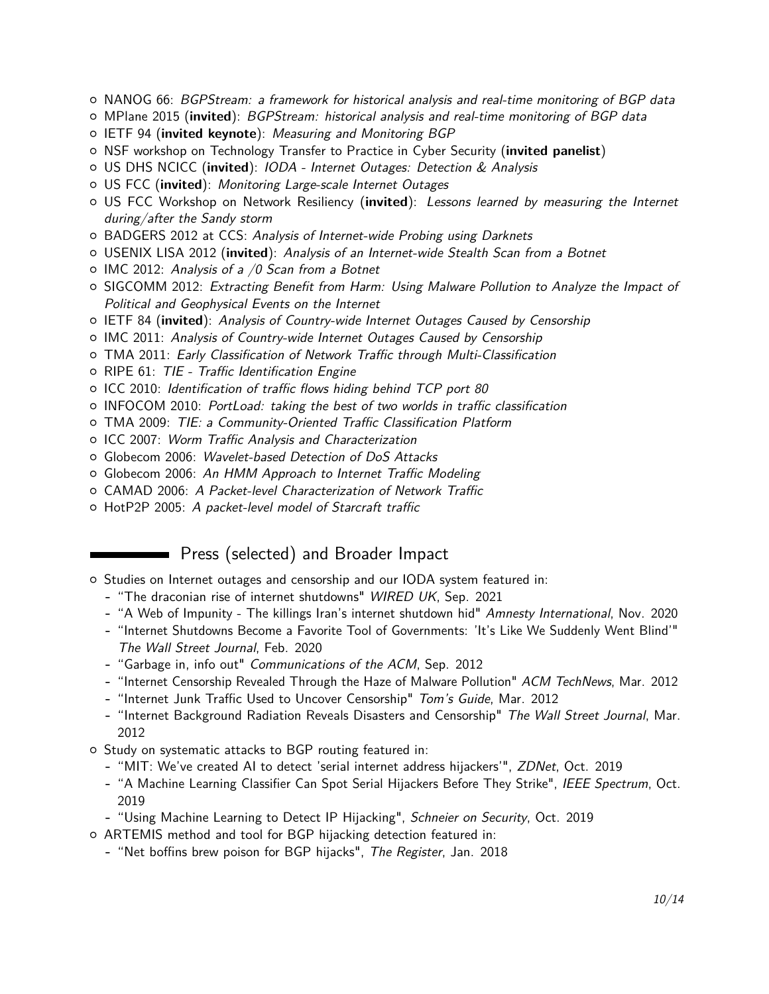- { NANOG 66: BGPStream: a framework for historical analysis and real-time monitoring of BGP data
- { MPlane 2015 (**invited**): BGPStream: historical analysis and real-time monitoring of BGP data
- { IETF 94 (**invited keynote**): Measuring and Monitoring BGP
- { NSF workshop on Technology Transfer to Practice in Cyber Security (**invited panelist**)
- { US DHS NCICC (**invited**): IODA Internet Outages: Detection & Analysis
- { US FCC (**invited**): Monitoring Large-scale Internet Outages
- { US FCC Workshop on Network Resiliency (**invited**): Lessons learned by measuring the Internet during/after the Sandy storm
- { BADGERS 2012 at CCS: Analysis of Internet-wide Probing using Darknets
- { USENIX LISA 2012 (**invited**): Analysis of an Internet-wide Stealth Scan from a Botnet
- $\circ$  IMC 2012: Analysis of a /0 Scan from a Botnet
- { SIGCOMM 2012: Extracting Benefit from Harm: Using Malware Pollution to Analyze the Impact of Political and Geophysical Events on the Internet
- { IETF 84 (**invited**): Analysis of Country-wide Internet Outages Caused by Censorship
- o IMC 2011: Analysis of Country-wide Internet Outages Caused by Censorship
- { TMA 2011: Early Classification of Network Traffic through Multi-Classification
- { RIPE 61: TIE Traffic Identification Engine
- { ICC 2010: Identification of traffic flows hiding behind TCP port 80
- { INFOCOM 2010: PortLoad: taking the best of two worlds in traffic classification
- { TMA 2009: TIE: a Community-Oriented Traffic Classification Platform
- { ICC 2007: Worm Traffic Analysis and Characterization
- { Globecom 2006: Wavelet-based Detection of DoS Attacks
- o Globecom 2006: An HMM Approach to Internet Traffic Modeling
- { CAMAD 2006: A Packet-level Characterization of Network Traffic
- { HotP2P 2005: A packet-level model of Starcraft traffic

# **Press (selected) and Broader Impact**

- { Studies on Internet outages and censorship and our IODA system featured in:
	- **-** ["The draconian rise of internet shutdowns"](https://www.wired.co.uk/article/internet-shutdowns) WIRED UK, Sep. 2021
	- **-** ["A Web of Impunity The killings Iran's internet shutdown hid"](https://iran-shutdown.amnesty.org) Amnesty International, Nov. 2020
	- **-** ["Internet Shutdowns Become a Favorite Tool of Governments: 'It's Like We Suddenly Went Blind'"](https://www.wsj.com/articles/internet-shutdowns-become-a-favorite-tool-of-governments-its-like-we-suddenly-went-blind-11582648765) The Wall Street Journal, Feb. 2020
	- **-** ["Garbage in, info out"](https://dl.acm.org/citation.cfm?id=2330667.2330674) Communications of the ACM, Sep. 2012
	- **-** ["Internet Censorship Revealed Through the Haze of Malware Pollution"](https://cacm.acm.org/news/146966-internet-censorship-revealed-through-the-haze-of-malware-pollution/fulltext) ACM TechNews, Mar. 2012
	- **-** ["Internet Junk Traffic Used to Uncover Censorship"](https://www.tomsguide.com/us/ibr-Internet-junk-traffic-censorship,news-14416.html) Tom's Guide, Mar. 2012
	- **-** ["Internet Background Radiation Reveals Disasters and Censorship"](https://blogs.wsj.com/tech-europe/2012/03/12/internet-background-radiation-reveals-disasters-and-censorship/) The Wall Street Journal, Mar. 2012
- { Study on systematic attacks to BGP routing featured in:
	- **-** ["MIT: We've created AI to detect 'serial internet address hijackers'"](https://www.zdnet.com/article/mit-weve-created-ai-to-detect-serial-internet-address-hijackers/), ZDNet, Oct. 2019
	- **-** ["A Machine Learning Classifier Can Spot Serial Hijackers Before They Strike"](https://spectrum.ieee.org/tech-talk/telecom/internet/mit-and-caida-researchers-want-to-use-machine-learning-to-plug-one-of-the-internets-biggest-holes), IEEE Spectrum, Oct. 2019
	- **-** ["Using Machine Learning to Detect IP Hijacking"](https://www.schneier.com/blog/archives/2019/10/using_machine_l_1.html), Schneier on Security, Oct. 2019
- { ARTEMIS method and tool for BGP hijacking detection featured in:
	- **-** ["Net boffins brew poison for BGP hijacks"](https://www.theregister.co.uk/2018/01/08/caida_euro_boffins_want_to_end_bgp_hijacks/), The Register, Jan. 2018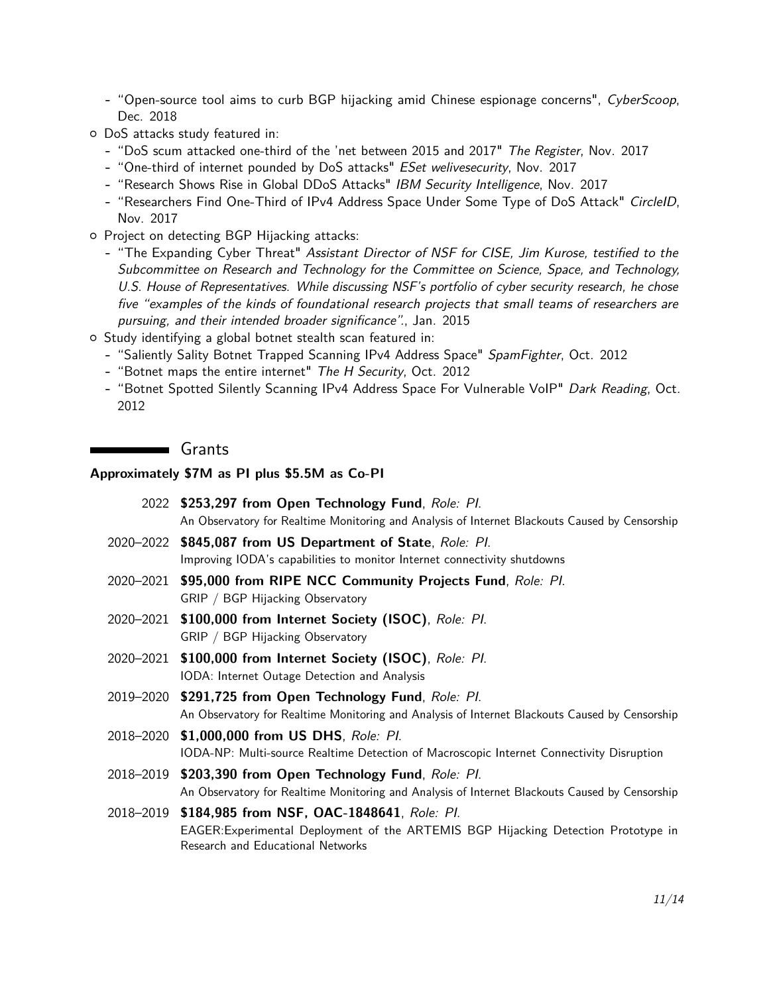**-** ["Open-source tool aims to curb BGP hijacking amid Chinese espionage concerns"](https://www.cyberscoop.com/open-source-tool-aims-to-curb-bgp-hijacking-amid-chinese-espionage-concerns/), CyberScoop, Dec. 2018

- { DoS attacks study featured in:
	- **-** ["DoS scum attacked one-third of the 'net between 2015 and 2017"](https://www.theregister.co.uk/2017/11/05/caida_study_finds_one_third_of_the_internet_suffered_denial_of_service_attacks_between_2015_and_2017/) The Register, Nov. 2017
	- **-** ["One-third of internet pounded by DoS attacks"](https://www.welivesecurity.com/2017/11/17/one-third-internet-dos-attacks/) ESet welivesecurity, Nov. 2017
	- **-** ["Research Shows Rise in Global DDoS Attacks"](https://securityintelligence.com/news/research-shows-rise-in-global-ddos-attacks/) IBM Security Intelligence, Nov. 2017
	- **-** ["Researchers Find One-Third of IPv4 Address Space Under Some Type of DoS Attack"](http://www.circleid.com/posts/20171105_researchers_find_one_third_of_ipv4_address_space_dos_attack/) CircleID, Nov. 2017
- o Project on detecting BGP Hijacking attacks:
	- **-** ["The Expanding Cyber Threat"](http://science.house.gov/sites/republicans.science.house.gov/files/documents/HHRG-114-SY15-WState-JKurose-20150127.pdf) Assistant Director of NSF for CISE, Jim Kurose, testified to the Subcommittee on Research and Technology for the Committee on Science, Space, and Technology, U.S. House of Representatives. While discussing NSF's portfolio of cyber security research, he chose five "examples of the kinds of foundational research projects that small teams of researchers are pursuing, and their intended broader significance"., Jan. 2015
- { Study identifying a global botnet stealth scan featured in:
	- **-** ["Saliently Sality Botnet Trapped Scanning IPv4 Address Space"](http://www.spamfighter.com/News-17993-Saliently-Sality-Botnet-Trapped-Scanning-IPv4-Address-Space.htm) SpamFighter, Oct. 2012
	- **-** ["Botnet maps the entire internet"](http://www.h-online.com/security/news/item/Botnet-maps-the-entire-internet-1725674.html) The H Security, Oct. 2012
	- **-** ["Botnet Spotted Silently Scanning IPv4 Address Space For Vulnerable VoIP"](https://www.darkreading.com/vulnerabilities---threats/botnet-spotted-silently-scanning-ipv4-address-space-for-vulnerable-voip/d/d-id/1138475) Dark Reading, Oct. 2012

# Grants

#### **Approximately \$7M as PI plus \$5.5M as Co-PI**

| 2022 \$253,297 from Open Technology Fund, Role: Pl.<br>An Observatory for Realtime Monitoring and Analysis of Internet Blackouts Caused by Censorship                           |
|---------------------------------------------------------------------------------------------------------------------------------------------------------------------------------|
| 2020-2022 \$845,087 from US Department of State, Role: PI.<br>Improving IODA's capabilities to monitor Internet connectivity shutdowns                                          |
| 2020-2021 \$95,000 from RIPE NCC Community Projects Fund, Role: Pl.<br>GRIP / BGP Hijacking Observatory                                                                         |
| 2020-2021 \$100,000 from Internet Society (ISOC), Role: PI.<br>GRIP / BGP Hijacking Observatory                                                                                 |
| 2020-2021 \$100,000 from Internet Society (ISOC), Role: PI.<br>IODA: Internet Outage Detection and Analysis                                                                     |
| 2019-2020 \$291,725 from Open Technology Fund, Role: PI.<br>An Observatory for Realtime Monitoring and Analysis of Internet Blackouts Caused by Censorship                      |
| 2018-2020 \$1,000,000 from US DHS, Role: Pl.<br>IODA-NP: Multi-source Realtime Detection of Macroscopic Internet Connectivity Disruption                                        |
| 2018-2019 \$203,390 from Open Technology Fund, Role: Pl.<br>An Observatory for Realtime Monitoring and Analysis of Internet Blackouts Caused by Censorship                      |
| 2018-2019 \$184,985 from NSF, OAC-1848641, Role: PI.<br>EAGER: Experimental Deployment of the ARTEMIS BGP Hijacking Detection Prototype in<br>Research and Educational Networks |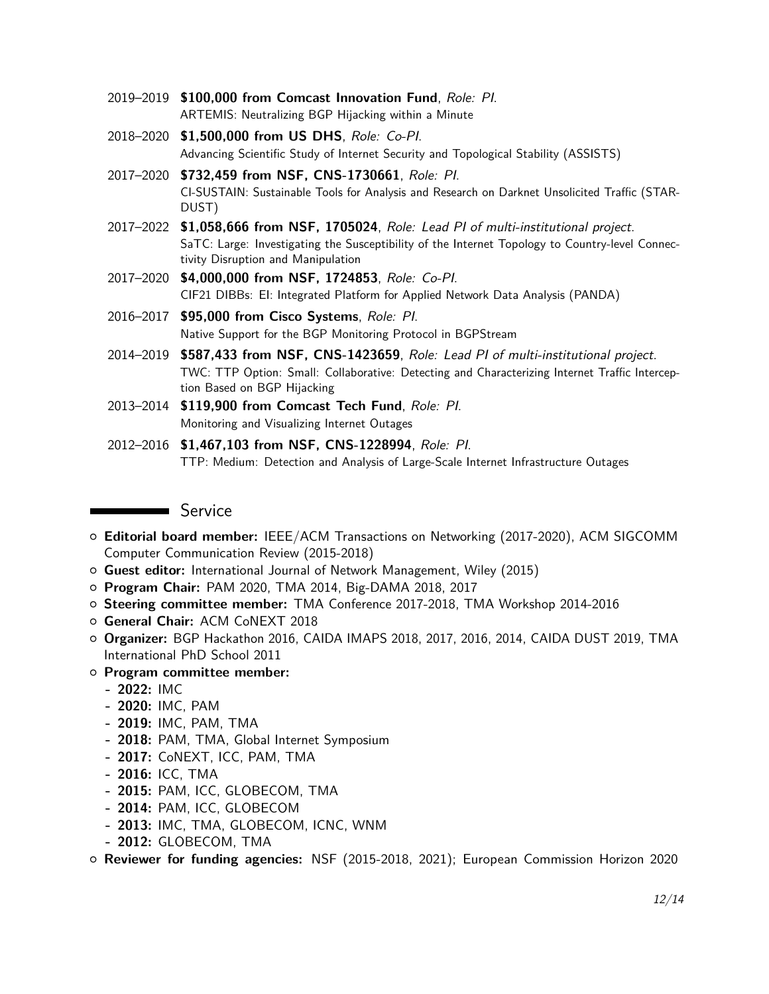- 2019–2019 **\$100,000 from Comcast Innovation Fund**, Role: PI. ARTEMIS: Neutralizing BGP Hijacking within a Minute
- 2018–2020 **\$1,500,000 from US DHS**, Role: Co-PI. Advancing Scientific Study of Internet Security and Topological Stability (ASSISTS)
- 2017–2020 **\$732,459 from NSF, CNS-1730661**, Role: PI. CI-SUSTAIN: Sustainable Tools for Analysis and Research on Darknet Unsolicited Traffic (STAR-DUST)
- 2017–2022 **\$1,058,666 from NSF, 1705024**, Role: Lead PI of multi-institutional project. SaTC: Large: Investigating the Susceptibility of the Internet Topology to Country-level Connectivity Disruption and Manipulation
- 2017–2020 **\$4,000,000 from NSF, 1724853**, Role: Co-PI. CIF21 DIBBs: EI: Integrated Platform for Applied Network Data Analysis (PANDA)
- 2016–2017 **\$95,000 from Cisco Systems**, Role: PI. Native Support for the BGP Monitoring Protocol in BGPStream
- 2014–2019 **\$587,433 from NSF, CNS-1423659**, Role: Lead PI of multi-institutional project. TWC: TTP Option: Small: Collaborative: Detecting and Characterizing Internet Traffic Interception Based on BGP Hijacking
- 2013–2014 **\$119,900 from Comcast Tech Fund**, Role: PI. Monitoring and Visualizing Internet Outages
- 2012–2016 **\$1,467,103 from NSF, CNS-1228994**, Role: PI. TTP: Medium: Detection and Analysis of Large-Scale Internet Infrastructure Outages

# Service

- { **Editorial board member:** IEEE/ACM Transactions on Networking (2017-2020), ACM SIGCOMM Computer Communication Review (2015-2018)
- { **Guest editor:** International Journal of Network Management, Wiley (2015)
- { **Program Chair:** PAM 2020, TMA 2014, Big-DAMA 2018, 2017
- { **Steering committee member:** TMA Conference 2017-2018, TMA Workshop 2014-2016
- { **General Chair:** ACM CoNEXT 2018
- { **Organizer:** BGP Hackathon 2016, CAIDA IMAPS 2018, 2017, 2016, 2014, CAIDA DUST 2019, TMA International PhD School 2011
- { **Program committee member:**
	- **- 2022:** IMC

- **- 2020:** IMC, PAM
- **- 2019:** IMC, PAM, TMA
- **- 2018:** PAM, TMA, Global Internet Symposium
- **- 2017:** CoNEXT, ICC, PAM, TMA
- **- 2016:** ICC, TMA
- **- 2015:** PAM, ICC, GLOBECOM, TMA
- **- 2014:** PAM, ICC, GLOBECOM
- **- 2013:** IMC, TMA, GLOBECOM, ICNC, WNM
- **- 2012:** GLOBECOM, TMA
- { **Reviewer for funding agencies:** NSF (2015-2018, 2021); European Commission Horizon 2020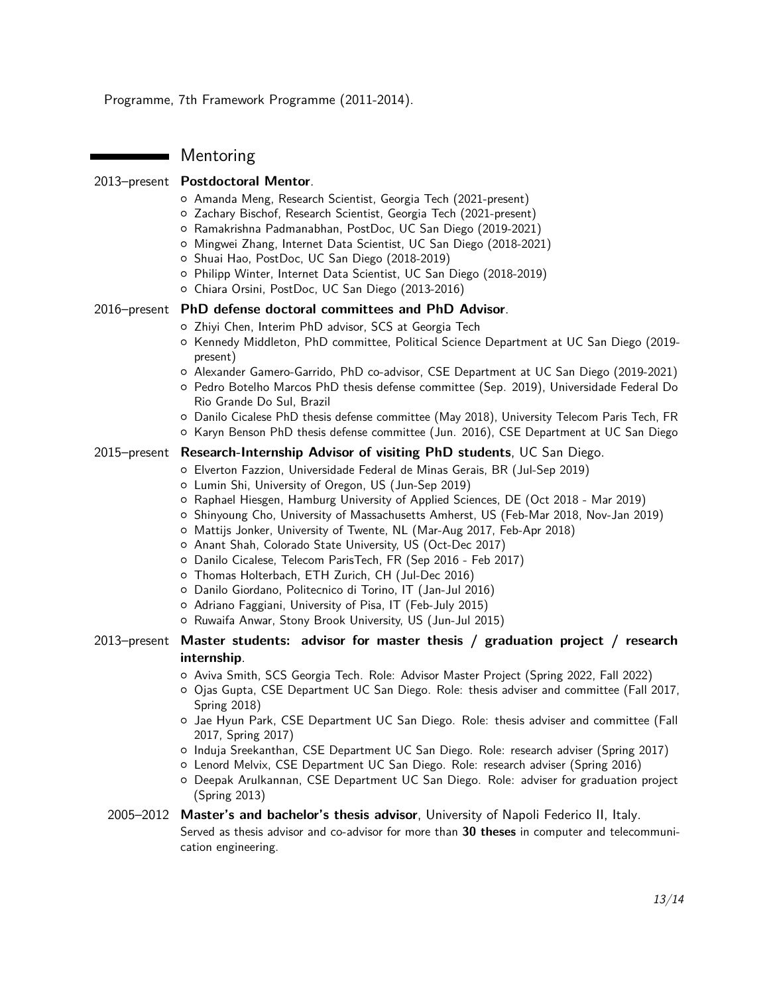Programme, 7th Framework Programme (2011-2014).

#### Mentoring

2013–present **Postdoctoral Mentor**.

 $\blacksquare$ 

## { Amanda Meng, Research Scientist, Georgia Tech (2021-present) { Zachary Bischof, Research Scientist, Georgia Tech (2021-present) { Ramakrishna Padmanabhan, PostDoc, UC San Diego (2019-2021) { Mingwei Zhang, Internet Data Scientist, UC San Diego (2018-2021) { Shuai Hao, PostDoc, UC San Diego (2018-2019) { Philipp Winter, Internet Data Scientist, UC San Diego (2018-2019) { Chiara Orsini, PostDoc, UC San Diego (2013-2016) 2016–present **PhD defense doctoral committees and PhD Advisor**. { Zhiyi Chen, Interim PhD advisor, SCS at Georgia Tech

- { Kennedy Middleton, PhD committee, Political Science Department at UC San Diego (2019 present)
- { Alexander Gamero-Garrido, PhD co-advisor, CSE Department at UC San Diego (2019-2021)
- { Pedro Botelho Marcos PhD thesis defense committee (Sep. 2019), Universidade Federal Do Rio Grande Do Sul, Brazil
- { Danilo Cicalese PhD thesis defense committee (May 2018), University Telecom Paris Tech, FR
- { Karyn Benson PhD thesis defense committee (Jun. 2016), CSE Department at UC San Diego

#### 2015–present **Research-Internship Advisor of visiting PhD students**, UC San Diego.

- { Elverton Fazzion, Universidade Federal de Minas Gerais, BR (Jul-Sep 2019)
- { Lumin Shi, University of Oregon, US (Jun-Sep 2019)
- { Raphael Hiesgen, Hamburg University of Applied Sciences, DE (Oct 2018 Mar 2019)
- { Shinyoung Cho, University of Massachusetts Amherst, US (Feb-Mar 2018, Nov-Jan 2019)
- { Mattijs Jonker, University of Twente, NL (Mar-Aug 2017, Feb-Apr 2018)
- { Anant Shah, Colorado State University, US (Oct-Dec 2017)
- { Danilo Cicalese, Telecom ParisTech, FR (Sep 2016 Feb 2017)
- { Thomas Holterbach, ETH Zurich, CH (Jul-Dec 2016)
- { Danilo Giordano, Politecnico di Torino, IT (Jan-Jul 2016)
- { Adriano Faggiani, University of Pisa, IT (Feb-July 2015)
- { Ruwaifa Anwar, Stony Brook University, US (Jun-Jul 2015)

#### 2013–present **Master students: advisor for master thesis / graduation project / research internship**.

- { Aviva Smith, SCS Georgia Tech. Role: Advisor Master Project (Spring 2022, Fall 2022)
- { Ojas Gupta, CSE Department UC San Diego. Role: thesis adviser and committee (Fall 2017, Spring 2018)
- { Jae Hyun Park, CSE Department UC San Diego. Role: thesis adviser and committee (Fall 2017, Spring 2017)
- { Induja Sreekanthan, CSE Department UC San Diego. Role: research adviser (Spring 2017)
- { Lenord Melvix, CSE Department UC San Diego. Role: research adviser (Spring 2016)
- { Deepak Arulkannan, CSE Department UC San Diego. Role: adviser for graduation project (Spring 2013)

#### 2005–2012 **Master's and bachelor's thesis advisor**, University of Napoli Federico II, Italy. Served as thesis advisor and co-advisor for more than **30 theses** in computer and telecommunication engineering.